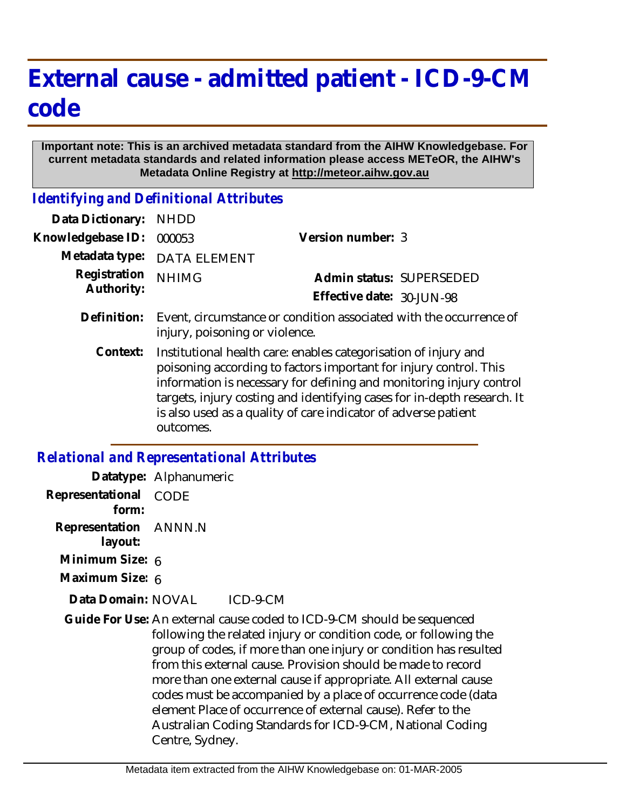## **External cause - admitted patient - ICD-9-CM code**

## **Important note: This is an archived metadata standard from the AIHW Knowledgebase. For current metadata standards and related information please access METeOR, the AIHW's Metadata Online Registry at http://meteor.aihw.gov.au**

*Identifying and Definitional Attributes*

| Data Dictionary:           | <b>NHDD</b>                                                                                                                                                                                                                                                                                                                                                           |                           |
|----------------------------|-----------------------------------------------------------------------------------------------------------------------------------------------------------------------------------------------------------------------------------------------------------------------------------------------------------------------------------------------------------------------|---------------------------|
| Knowledgebase ID:          | 000053                                                                                                                                                                                                                                                                                                                                                                | Version number: 3         |
| Metadata type:             | <b>DATA ELEMENT</b>                                                                                                                                                                                                                                                                                                                                                   |                           |
| Registration<br>Authority: | <b>NHIMG</b>                                                                                                                                                                                                                                                                                                                                                          | Admin status: SUPERSEDED  |
|                            |                                                                                                                                                                                                                                                                                                                                                                       | Effective date: 30-JUN-98 |
| Definition:                | Event, circumstance or condition associated with the occurrence of<br>injury, poisoning or violence.                                                                                                                                                                                                                                                                  |                           |
| Context:                   | Institutional health care: enables categorisation of injury and<br>poisoning according to factors important for injury control. This<br>information is necessary for defining and monitoring injury control<br>targets, injury costing and identifying cases for in-depth research. It<br>is also used as a quality of care indicator of adverse patient<br>outcomes. |                           |

## *Relational and Representational Attributes*

|                                  | Datatype: Alphanumeric                                                                                                                                                                                                                                                                                                                                                                                                                                                                                                                                              |
|----------------------------------|---------------------------------------------------------------------------------------------------------------------------------------------------------------------------------------------------------------------------------------------------------------------------------------------------------------------------------------------------------------------------------------------------------------------------------------------------------------------------------------------------------------------------------------------------------------------|
| Representational<br>form:        | CODE                                                                                                                                                                                                                                                                                                                                                                                                                                                                                                                                                                |
| Representation ANNN.N<br>layout: |                                                                                                                                                                                                                                                                                                                                                                                                                                                                                                                                                                     |
| Minimum Size: 6                  |                                                                                                                                                                                                                                                                                                                                                                                                                                                                                                                                                                     |
| Maximum Size: 6                  |                                                                                                                                                                                                                                                                                                                                                                                                                                                                                                                                                                     |
| Data Domain: NOVAL               | ICD-9-CM                                                                                                                                                                                                                                                                                                                                                                                                                                                                                                                                                            |
|                                  | Guide For Use: An external cause coded to ICD-9-CM should be sequenced<br>following the related injury or condition code, or following the<br>group of codes, if more than one injury or condition has resulted<br>from this external cause. Provision should be made to record<br>more than one external cause if appropriate. All external cause<br>codes must be accompanied by a place of occurrence code (data<br>element Place of occurrence of external cause). Refer to the<br>Australian Coding Standards for ICD-9-CM, National Coding<br>Centre, Sydney. |